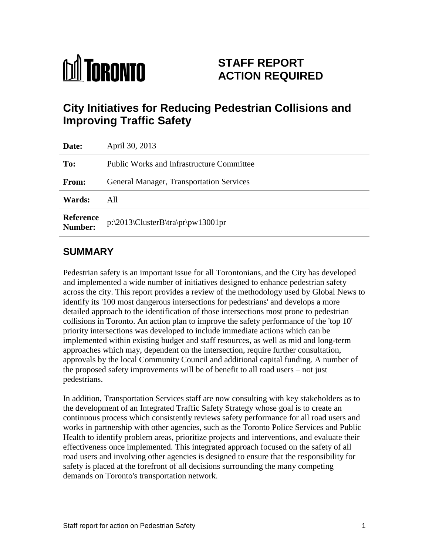# **M** TORONTO

## **STAFF REPORT ACTION REQUIRED**

# **City Initiatives for Reducing Pedestrian Collisions and Improving Traffic Safety**

| Date:                       | April 30, 2013                                   |
|-----------------------------|--------------------------------------------------|
| To:                         | <b>Public Works and Infrastructure Committee</b> |
| From:                       | <b>General Manager, Transportation Services</b>  |
| Wards:                      | All                                              |
| <b>Reference</b><br>Number: | $p:\2013\ClusterB\tra\pr\pw13001pr$              |

## **SUMMARY**

Pedestrian safety is an important issue for all Torontonians, and the City has developed and implemented a wide number of initiatives designed to enhance pedestrian safety across the city. This report provides a review of the methodology used by Global News to identify its '100 most dangerous intersections for pedestrians' and develops a more detailed approach to the identification of those intersections most prone to pedestrian collisions in Toronto. An action plan to improve the safety performance of the 'top 10' priority intersections was developed to include immediate actions which can be implemented within existing budget and staff resources, as well as mid and long-term approaches which may, dependent on the intersection, require further consultation, approvals by the local Community Council and additional capital funding. A number of the proposed safety improvements will be of benefit to all road users – not just pedestrians.

In addition, Transportation Services staff are now consulting with key stakeholders as to the development of an Integrated Traffic Safety Strategy whose goal is to create an continuous process which consistently reviews safety performance for all road users and works in partnership with other agencies, such as the Toronto Police Services and Public Health to identify problem areas, prioritize projects and interventions, and evaluate their effectiveness once implemented. This integrated approach focused on the safety of all road users and involving other agencies is designed to ensure that the responsibility for safety is placed at the forefront of all decisions surrounding the many competing demands on Toronto's transportation network.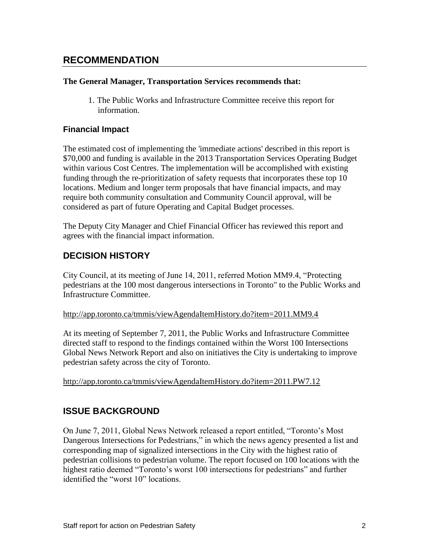## **RECOMMENDATION**

#### **The General Manager, Transportation Services recommends that:**

1. The Public Works and Infrastructure Committee receive this report for information.

#### **Financial Impact**

The estimated cost of implementing the 'immediate actions' described in this report is \$70,000 and funding is available in the 2013 Transportation Services Operating Budget within various Cost Centres. The implementation will be accomplished with existing funding through the re-prioritization of safety requests that incorporates these top 10 locations. Medium and longer term proposals that have financial impacts, and may require both community consultation and Community Council approval, will be considered as part of future Operating and Capital Budget processes.

The Deputy City Manager and Chief Financial Officer has reviewed this report and agrees with the financial impact information.

#### **DECISION HISTORY**

City Council, at its meeting of June 14, 2011, referred Motion MM9.4, "Protecting pedestrians at the 100 most dangerous intersections in Toronto" to the Public Works and Infrastructure Committee.

#### <http://app.toronto.ca/tmmis/viewAgendaItemHistory.do?item=2011.MM9.4>

At its meeting of September 7, 2011, the Public Works and Infrastructure Committee directed staff to respond to the findings contained within the Worst 100 Intersections Global News Network Report and also on initiatives the City is undertaking to improve pedestrian safety across the city of Toronto.

#### <http://app.toronto.ca/tmmis/viewAgendaItemHistory.do?item=2011.PW7.12>

#### **ISSUE BACKGROUND**

On June 7, 2011, Global News Network released a report entitled, "Toronto's Most Dangerous Intersections for Pedestrians," in which the news agency presented a list and corresponding map of signalized intersections in the City with the highest ratio of pedestrian collisions to pedestrian volume. The report focused on 100 locations with the highest ratio deemed "Toronto's worst 100 intersections for pedestrians" and further identified the "worst 10" locations.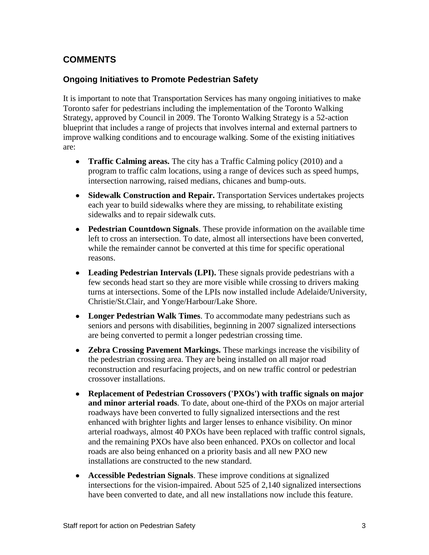## **COMMENTS**

#### **Ongoing Initiatives to Promote Pedestrian Safety**

It is important to note that Transportation Services has many ongoing initiatives to make Toronto safer for pedestrians including the implementation of the Toronto Walking Strategy, approved by Council in 2009. The Toronto Walking Strategy is a 52-action blueprint that includes a range of projects that involves internal and external partners to improve walking conditions and to encourage walking. Some of the existing initiatives are:

- **Traffic Calming areas.** The city has a Traffic Calming policy (2010) and a program to traffic calm locations, using a range of devices such as speed humps, intersection narrowing, raised medians, chicanes and bump-outs.
- **Sidewalk Construction and Repair.** Transportation Services undertakes projects each year to build sidewalks where they are missing, to rehabilitate existing sidewalks and to repair sidewalk cuts.
- **Pedestrian Countdown Signals**. These provide information on the available time left to cross an intersection. To date, almost all intersections have been converted, while the remainder cannot be converted at this time for specific operational reasons.
- **Leading Pedestrian Intervals (LPI).** These signals provide pedestrians with a few seconds head start so they are more visible while crossing to drivers making turns at intersections. Some of the LPIs now installed include Adelaide/University, Christie/St.Clair, and Yonge/Harbour/Lake Shore.
- **Longer Pedestrian Walk Times**. To accommodate many pedestrians such as seniors and persons with disabilities, beginning in 2007 signalized intersections are being converted to permit a longer pedestrian crossing time.
- **Zebra Crossing Pavement Markings.** These markings increase the visibility of the pedestrian crossing area. They are being installed on all major road reconstruction and resurfacing projects, and on new traffic control or pedestrian crossover installations.
- **Replacement of Pedestrian Crossovers ('PXOs') with traffic signals on major and minor arterial roads**. To date, about one-third of the PXOs on major arterial roadways have been converted to fully signalized intersections and the rest enhanced with brighter lights and larger lenses to enhance visibility. On minor arterial roadways, almost 40 PXOs have been replaced with traffic control signals, and the remaining PXOs have also been enhanced. PXOs on collector and local roads are also being enhanced on a priority basis and all new PXO new installations are constructed to the new standard.
- **Accessible Pedestrian Signals**. These improve conditions at signalized intersections for the vision-impaired. About 525 of 2,140 signalized intersections have been converted to date, and all new installations now include this feature.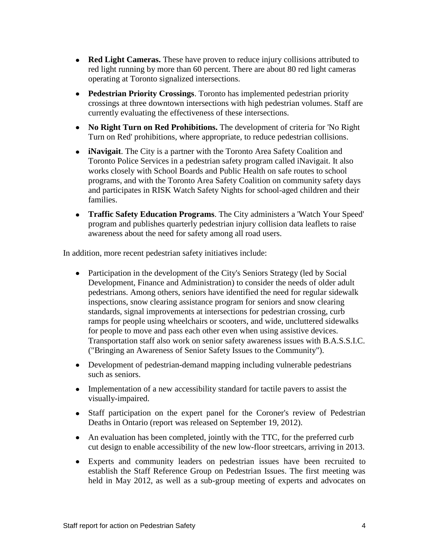- **Red Light Cameras.** These have proven to reduce injury collisions attributed to red light running by more than 60 percent. There are about 80 red light cameras operating at Toronto signalized intersections.
- **Pedestrian Priority Crossings**. Toronto has implemented pedestrian priority crossings at three downtown intersections with high pedestrian volumes. Staff are currently evaluating the effectiveness of these intersections.
- **No Right Turn on Red Prohibitions.** The development of criteria for 'No Right Turn on Red' prohibitions, where appropriate, to reduce pedestrian collisions.
- **iNavigait**. The City is a partner with the Toronto Area Safety Coalition and Toronto Police Services in a pedestrian safety program called iNavigait. It also works closely with School Boards and Public Health on safe routes to school programs, and with the Toronto Area Safety Coalition on community safety days and participates in RISK Watch Safety Nights for school-aged children and their families.
- **Traffic Safety Education Programs**. The City administers a 'Watch Your Speed' program and publishes quarterly pedestrian injury collision data leaflets to raise awareness about the need for safety among all road users.

In addition, more recent pedestrian safety initiatives include:

- Participation in the development of the City's Seniors Strategy (led by Social Development, Finance and Administration) to consider the needs of older adult pedestrians. Among others, seniors have identified the need for regular sidewalk inspections, snow clearing assistance program for seniors and snow clearing standards, signal improvements at intersections for pedestrian crossing, curb ramps for people using wheelchairs or scooters, and wide, uncluttered sidewalks for people to move and pass each other even when using assistive devices. Transportation staff also work on senior safety awareness issues with B.A.S.S.I.C. ("Bringing an Awareness of Senior Safety Issues to the Community").
- Development of pedestrian-demand mapping including vulnerable pedestrians such as seniors.
- Implementation of a new accessibility standard for tactile pavers to assist the visually-impaired.
- Staff participation on the expert panel for the Coroner's review of Pedestrian Deaths in Ontario (report was released on September 19, 2012).
- An evaluation has been completed, jointly with the TTC, for the preferred curb cut design to enable accessibility of the new low-floor streetcars, arriving in 2013.
- Experts and community leaders on pedestrian issues have been recruited to establish the Staff Reference Group on Pedestrian Issues. The first meeting was held in May 2012, as well as a sub-group meeting of experts and advocates on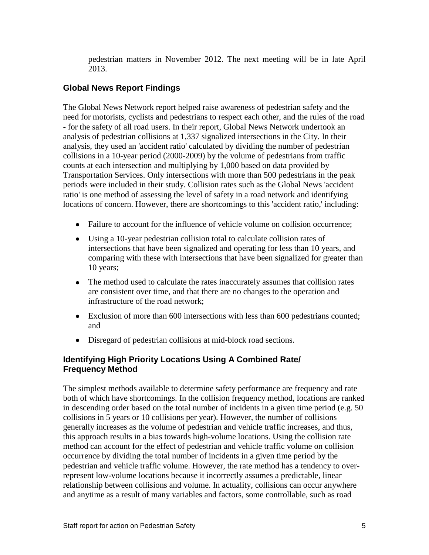pedestrian matters in November 2012. The next meeting will be in late April 2013.

#### **Global News Report Findings**

The Global News Network report helped raise awareness of pedestrian safety and the need for motorists, cyclists and pedestrians to respect each other, and the rules of the road - for the safety of all road users. In their report, Global News Network undertook an analysis of pedestrian collisions at 1,337 signalized intersections in the City. In their analysis, they used an 'accident ratio' calculated by dividing the number of pedestrian collisions in a 10-year period (2000-2009) by the volume of pedestrians from traffic counts at each intersection and multiplying by 1,000 based on data provided by Transportation Services. Only intersections with more than 500 pedestrians in the peak periods were included in their study. Collision rates such as the Global News 'accident ratio' is one method of assessing the level of safety in a road network and identifying locations of concern. However, there are shortcomings to this 'accident ratio,' including:

- Failure to account for the influence of vehicle volume on collision occurrence;
- Using a 10-year pedestrian collision total to calculate collision rates of intersections that have been signalized and operating for less than 10 years, and comparing with these with intersections that have been signalized for greater than 10 years;
- The method used to calculate the rates inaccurately assumes that collision rates are consistent over time, and that there are no changes to the operation and infrastructure of the road network;
- Exclusion of more than 600 intersections with less than 600 pedestrians counted; and
- Disregard of pedestrian collisions at mid-block road sections.

#### **Identifying High Priority Locations Using A Combined Rate/ Frequency Method**

The simplest methods available to determine safety performance are frequency and rate – both of which have shortcomings. In the collision frequency method, locations are ranked in descending order based on the total number of incidents in a given time period (e.g. 50 collisions in 5 years or 10 collisions per year). However, the number of collisions generally increases as the volume of pedestrian and vehicle traffic increases, and thus, this approach results in a bias towards high-volume locations. Using the collision rate method can account for the effect of pedestrian and vehicle traffic volume on collision occurrence by dividing the total number of incidents in a given time period by the pedestrian and vehicle traffic volume. However, the rate method has a tendency to overrepresent low-volume locations because it incorrectly assumes a predictable, linear relationship between collisions and volume. In actuality, collisions can occur anywhere and anytime as a result of many variables and factors, some controllable, such as road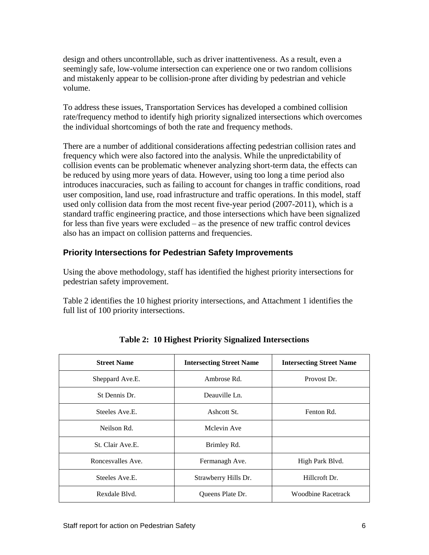design and others uncontrollable, such as driver inattentiveness. As a result, even a seemingly safe, low-volume intersection can experience one or two random collisions and mistakenly appear to be collision-prone after dividing by pedestrian and vehicle volume.

To address these issues, Transportation Services has developed a combined collision rate/frequency method to identify high priority signalized intersections which overcomes the individual shortcomings of both the rate and frequency methods.

There are a number of additional considerations affecting pedestrian collision rates and frequency which were also factored into the analysis. While the unpredictability of collision events can be problematic whenever analyzing short-term data, the effects can be reduced by using more years of data. However, using too long a time period also introduces inaccuracies, such as failing to account for changes in traffic conditions, road user composition, land use, road infrastructure and traffic operations. In this model, staff used only collision data from the most recent five-year period (2007-2011), which is a standard traffic engineering practice, and those intersections which have been signalized for less than five years were excluded – as the presence of new traffic control devices also has an impact on collision patterns and frequencies.

#### **Priority Intersections for Pedestrian Safety Improvements**

Using the above methodology, staff has identified the highest priority intersections for pedestrian safety improvement.

Table 2 identifies the 10 highest priority intersections, and Attachment 1 identifies the full list of 100 priority intersections.

| <b>Street Name</b> | <b>Intersecting Street Name</b> | <b>Intersecting Street Name</b> |
|--------------------|---------------------------------|---------------------------------|
| Sheppard Ave.E.    | Ambrose Rd.                     | Provost Dr.                     |
| St Dennis Dr.      | Deauville Ln.                   |                                 |
| Steeles Ave.E.     | Ashcott St.                     | Fenton Rd.                      |
| Neilson Rd.        | Mclevin Ave                     |                                 |
| St. Clair Ave.E.   | Brimley Rd.                     |                                 |
| Roncesvalles Ave.  | Fermanagh Ave.                  | High Park Blvd.                 |
| Steeles Ave.E.     | Strawberry Hills Dr.            | Hillcroft Dr.                   |
| Rexdale Blvd.      | Queens Plate Dr.                | <b>Woodbine Racetrack</b>       |

**Table 2: 10 Highest Priority Signalized Intersections**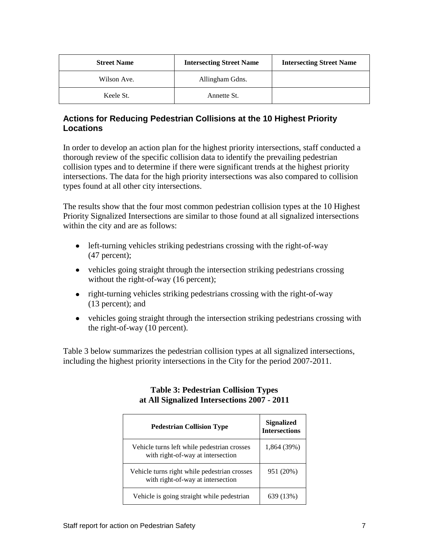| <b>Street Name</b> | <b>Intersecting Street Name</b> | <b>Intersecting Street Name</b> |
|--------------------|---------------------------------|---------------------------------|
| Wilson Ave.        | Allingham Gdns.                 |                                 |
| Keele St.          | Annette St.                     |                                 |

#### **Actions for Reducing Pedestrian Collisions at the 10 Highest Priority Locations**

In order to develop an action plan for the highest priority intersections, staff conducted a thorough review of the specific collision data to identify the prevailing pedestrian collision types and to determine if there were significant trends at the highest priority intersections. The data for the high priority intersections was also compared to collision types found at all other city intersections.

The results show that the four most common pedestrian collision types at the 10 Highest Priority Signalized Intersections are similar to those found at all signalized intersections within the city and are as follows:

- left-turning vehicles striking pedestrians crossing with the right-of-way (47 percent);
- vehicles going straight through the intersection striking pedestrians crossing without the right-of-way (16 percent);
- right-turning vehicles striking pedestrians crossing with the right-of-way (13 percent); and
- vehicles going straight through the intersection striking pedestrians crossing with the right-of-way (10 percent).

Table 3 below summarizes the pedestrian collision types at all signalized intersections, including the highest priority intersections in the City for the period 2007-2011.

| <b>Pedestrian Collision Type</b>                                                  | <b>Signalized</b><br><b>Intersections</b> |
|-----------------------------------------------------------------------------------|-------------------------------------------|
| Vehicle turns left while pedestrian crosses<br>with right-of-way at intersection  | 1,864 (39%)                               |
| Vehicle turns right while pedestrian crosses<br>with right-of-way at intersection | 951 (20%)                                 |
| Vehicle is going straight while pedestrian                                        | 639 (13%)                                 |

#### **Table 3: Pedestrian Collision Types at All Signalized Intersections 2007 - 2011**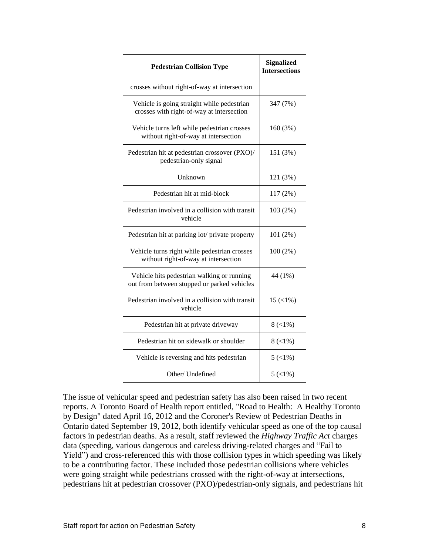| <b>Pedestrian Collision Type</b>                                                          | <b>Signalized</b><br><b>Intersections</b> |
|-------------------------------------------------------------------------------------------|-------------------------------------------|
| crosses without right-of-way at intersection                                              |                                           |
| Vehicle is going straight while pedestrian<br>crosses with right-of-way at intersection   | 347 (7%)                                  |
| Vehicle turns left while pedestrian crosses<br>without right-of-way at intersection       | 160 (3%)                                  |
| Pedestrian hit at pedestrian crossover (PXO)/<br>pedestrian-only signal                   | 151 (3%)                                  |
| Unknown                                                                                   | 121 (3%)                                  |
| Pedestrian hit at mid-block                                                               | 117 (2%)                                  |
| Pedestrian involved in a collision with transit<br>vehicle                                | 103 (2%)                                  |
| Pedestrian hit at parking lot/ private property                                           | 101 (2%)                                  |
| Vehicle turns right while pedestrian crosses<br>without right-of-way at intersection      | 100 (2%)                                  |
| Vehicle hits pedestrian walking or running<br>out from between stopped or parked vehicles | 44 (1%)                                   |
| Pedestrian involved in a collision with transit<br>vehicle                                | $15 \left( \frac{1}{6} \right)$           |
| Pedestrian hit at private driveway                                                        | 8(<1%)                                    |
| Pedestrian hit on sidewalk or shoulder                                                    | 8(<1%)                                    |
| Vehicle is reversing and hits pedestrian                                                  | $5 \left( \frac{1}{6} \right)$            |
| Other/ Undefined                                                                          | $5( < 1\%)$                               |

The issue of vehicular speed and pedestrian safety has also been raised in two recent reports. A Toronto Board of Health report entitled, "Road to Health: A Healthy Toronto by Design" dated April 16, 2012 and the Coroner's Review of Pedestrian Deaths in Ontario dated September 19, 2012, both identify vehicular speed as one of the top causal factors in pedestrian deaths. As a result, staff reviewed the *Highway Traffic Act* charges data (speeding, various dangerous and careless driving-related charges and "Fail to Yield") and cross-referenced this with those collision types in which speeding was likely to be a contributing factor. These included those pedestrian collisions where vehicles were going straight while pedestrians crossed with the right-of-way at intersections, pedestrians hit at pedestrian crossover (PXO)/pedestrian-only signals, and pedestrians hit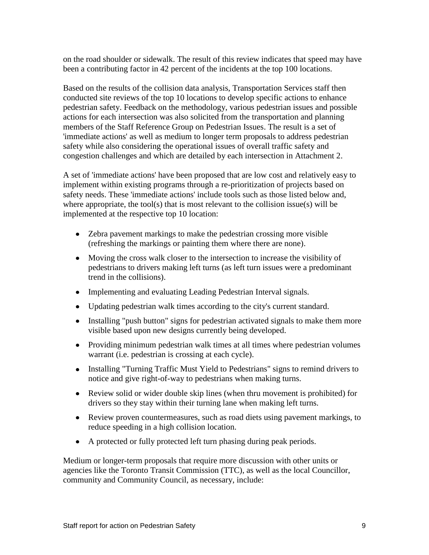on the road shoulder or sidewalk. The result of this review indicates that speed may have been a contributing factor in 42 percent of the incidents at the top 100 locations.

Based on the results of the collision data analysis, Transportation Services staff then conducted site reviews of the top 10 locations to develop specific actions to enhance pedestrian safety. Feedback on the methodology, various pedestrian issues and possible actions for each intersection was also solicited from the transportation and planning members of the Staff Reference Group on Pedestrian Issues. The result is a set of 'immediate actions' as well as medium to longer term proposals to address pedestrian safety while also considering the operational issues of overall traffic safety and congestion challenges and which are detailed by each intersection in Attachment 2.

A set of 'immediate actions' have been proposed that are low cost and relatively easy to implement within existing programs through a re-prioritization of projects based on safety needs. These 'immediate actions' include tools such as those listed below and, where appropriate, the tool(s) that is most relevant to the collision issue(s) will be implemented at the respective top 10 location:

- Zebra pavement markings to make the pedestrian crossing more visible (refreshing the markings or painting them where there are none).
- Moving the cross walk closer to the intersection to increase the visibility of pedestrians to drivers making left turns (as left turn issues were a predominant trend in the collisions).
- Implementing and evaluating Leading Pedestrian Interval signals.
- Updating pedestrian walk times according to the city's current standard.
- Installing "push button" signs for pedestrian activated signals to make them more visible based upon new designs currently being developed.
- Providing minimum pedestrian walk times at all times where pedestrian volumes warrant (*i.e.* pedestrian is crossing at each cycle).
- Installing "Turning Traffic Must Yield to Pedestrians" signs to remind drivers to notice and give right-of-way to pedestrians when making turns.
- Review solid or wider double skip lines (when thru movement is prohibited) for drivers so they stay within their turning lane when making left turns.
- Review proven countermeasures, such as road diets using pavement markings, to reduce speeding in a high collision location.
- A protected or fully protected left turn phasing during peak periods.

Medium or longer-term proposals that require more discussion with other units or agencies like the Toronto Transit Commission (TTC), as well as the local Councillor, community and Community Council, as necessary, include: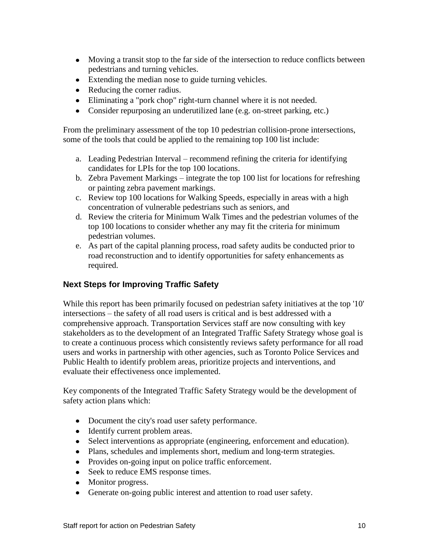- Moving a transit stop to the far side of the intersection to reduce conflicts between pedestrians and turning vehicles.
- Extending the median nose to guide turning vehicles.
- Reducing the corner radius.
- Eliminating a "pork chop" right-turn channel where it is not needed.
- Consider repurposing an underutilized lane (e.g. on-street parking, etc.)

From the preliminary assessment of the top 10 pedestrian collision-prone intersections, some of the tools that could be applied to the remaining top 100 list include:

- a. Leading Pedestrian Interval recommend refining the criteria for identifying candidates for LPIs for the top 100 locations.
- b. Zebra Pavement Markings integrate the top 100 list for locations for refreshing or painting zebra pavement markings.
- c. Review top 100 locations for Walking Speeds, especially in areas with a high concentration of vulnerable pedestrians such as seniors, and
- d. Review the criteria for Minimum Walk Times and the pedestrian volumes of the top 100 locations to consider whether any may fit the criteria for minimum pedestrian volumes.
- e. As part of the capital planning process, road safety audits be conducted prior to road reconstruction and to identify opportunities for safety enhancements as required.

#### **Next Steps for Improving Traffic Safety**

While this report has been primarily focused on pedestrian safety initiatives at the top '10' intersections – the safety of all road users is critical and is best addressed with a comprehensive approach. Transportation Services staff are now consulting with key stakeholders as to the development of an Integrated Traffic Safety Strategy whose goal is to create a continuous process which consistently reviews safety performance for all road users and works in partnership with other agencies, such as Toronto Police Services and Public Health to identify problem areas, prioritize projects and interventions, and evaluate their effectiveness once implemented.

Key components of the Integrated Traffic Safety Strategy would be the development of safety action plans which:

- Document the city's road user safety performance.
- Identify current problem areas.
- Select interventions as appropriate (engineering, enforcement and education).
- Plans, schedules and implements short, medium and long-term strategies.
- Provides on-going input on police traffic enforcement.
- Seek to reduce EMS response times.
- Monitor progress.
- Generate on-going public interest and attention to road user safety.